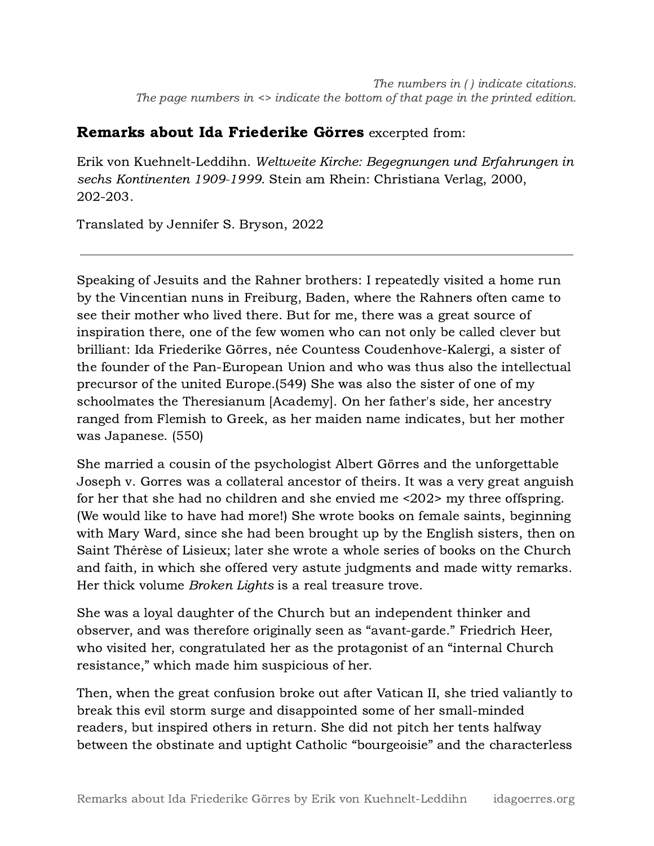## Remarks about Ida Friederike Görres excerpted from:

Erik von Kuehnelt-Leddihn. Weltweite Kirche: Begegnungen und Erfahrungen in sechs Kontinenten 1909-1999. Stein am Rhein: Christiana Verlag, 2000, 202-203.

Translated by Jennifer S. Bryson, 2022

Speaking of Jesuits and the Rahner brothers: I repeatedly visited a home run by the Vincentian nuns in Freiburg, Baden, where the Rahners often came to see their mother who lived there. But for me, there was a great source of inspiration there, one of the few women who can not only be called clever but brilliant: Ida Friederike Görres, née Countess Coudenhove-Kalergi, a sister of the founder of the Pan-European Union and who was thus also the intellectual precursor of the united Europe.(549) She was also the sister of one of my schoolmates the Theresianum [Academy]. On her father's side, her ancestry ranged from Flemish to Greek, as her maiden name indicates, but her mother was Japanese. (550)

She married a cousin of the psychologist Albert Görres and the unforgettable Joseph v. Gorres was a collateral ancestor of theirs. It was a very great anguish for her that she had no children and she envied me <202> my three offspring. (We would like to have had more!) She wrote books on female saints, beginning with Mary Ward, since she had been brought up by the English sisters, then on Saint Thérèse of Lisieux; later she wrote a whole series of books on the Church and faith, in which she offered very astute judgments and made witty remarks. Her thick volume *Broken Lights* is a real treasure trove.

She was a loyal daughter of the Church but an independent thinker and observer, and was therefore originally seen as "avant-garde." Friedrich Heer, who visited her, congratulated her as the protagonist of an "internal Church resistance," which made him suspicious of her.

Then, when the great confusion broke out after Vatican II, she tried valiantly to break this evil storm surge and disappointed some of her small-minded readers, but inspired others in return. She did not pitch her tents halfway between the obstinate and uptight Catholic "bourgeoisie" and the characterless